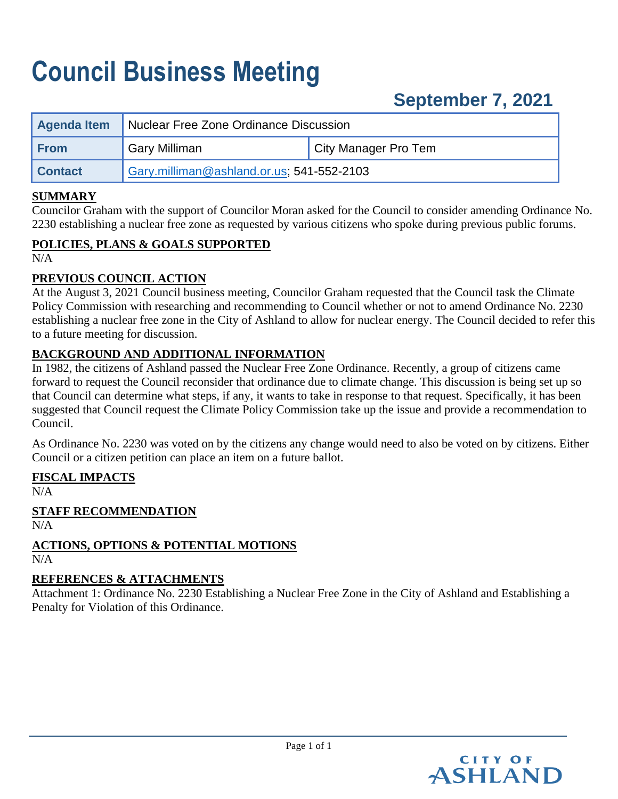# **Council Business Meeting**

# **September 7, 2021**

| <b>Agenda Item</b> | Nuclear Free Zone Ordinance Discussion    |                      |  |  |  |  |
|--------------------|-------------------------------------------|----------------------|--|--|--|--|
| <b>From</b>        | <b>Gary Milliman</b>                      | City Manager Pro Tem |  |  |  |  |
| <b>Contact</b>     | Gary.milliman@ashland.or.us: 541-552-2103 |                      |  |  |  |  |

#### **SUMMARY**

Councilor Graham with the support of Councilor Moran asked for the Council to consider amending Ordinance No. 2230 establishing a nuclear free zone as requested by various citizens who spoke during previous public forums.

### **POLICIES, PLANS & GOALS SUPPORTED**

N/A

### **PREVIOUS COUNCIL ACTION**

At the August 3, 2021 Council business meeting, Councilor Graham requested that the Council task the Climate Policy Commission with researching and recommending to Council whether or not to amend Ordinance No. 2230 establishing a nuclear free zone in the City of Ashland to allow for nuclear energy. The Council decided to refer this to a future meeting for discussion.

### **BACKGROUND AND ADDITIONAL INFORMATION**

In 1982, the citizens of Ashland passed the Nuclear Free Zone Ordinance. Recently, a group of citizens came forward to request the Council reconsider that ordinance due to climate change. This discussion is being set up so that Council can determine what steps, if any, it wants to take in response to that request. Specifically, it has been suggested that Council request the Climate Policy Commission take up the issue and provide a recommendation to Council.

As Ordinance No. 2230 was voted on by the citizens any change would need to also be voted on by citizens. Either Council or a citizen petition can place an item on a future ballot.

#### **FISCAL IMPACTS**

N/A

#### **STAFF RECOMMENDATION**

N/A

#### **ACTIONS, OPTIONS & POTENTIAL MOTIONS**  $N/A$

#### **REFERENCES & ATTACHMENTS**

Attachment 1: Ordinance No. 2230 Establishing a Nuclear Free Zone in the City of Ashland and Establishing a Penalty for Violation of this Ordinance.

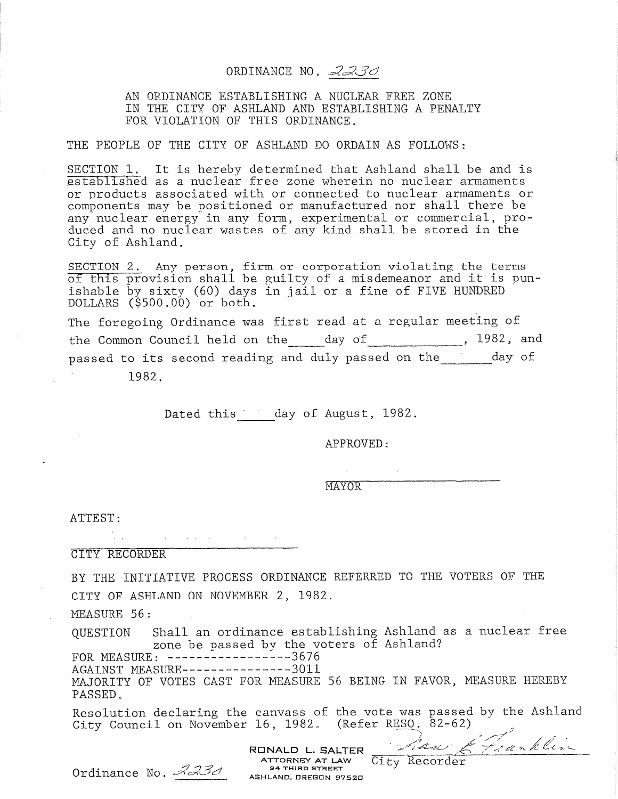## ORDINANCE NO. 2230

AN ORDINANCE ESTABLISHING A NUCLEAR FREE ZONE IN THE CITY OF ASHLAND AND ESTABLISHING A PENALTY FOR VIOLATION OF THIS ORDINANCE.

#### THE PEOPLE OF THE CITY OF ASHLAND DO ORDAIN AS FOLLOWS:

SECTION 1. It is hereby determined that Ashland shall be and is established as a nuclear free zone wherein no nuclear armaments or products associated with or connected to nuclear armaments or components may be positioned or manufactured nor shall there be any nuclear energy in any form, experimental or commercial, pro-<br>duced and no nuclear wastes of any kind shall be stored in the City of Ashland.

SECTION 2. Any person, firm or corporation violating the terms<br>of this provision shall be guilty of a misdemeanor and it is punishable by sixty (60) days in jail or a fine of FIVE HUNDRED DOLLARS (\$500,00) or both.

The foregoing Ordinance was first read at a regular meeting of the Common Council held on the day of 1982, and passed to its second reading and duly passed on the day of 1982.

Dated this day of August, 1982.

APPROVED:

**MAYOR** 

ATTEST:

 $\mathcal{L}_{\mathcal{A}}$  and  $\mathcal{L}_{\mathcal{A}}$  are the set of the set of the set of the  $\mathcal{A}$ 

**CITY RECORDER** 

BY THE INITIATIVE PROCESS ORDINANCE REFERRED TO THE VOTERS OF THE CITY OF ASHLAND ON NOVEMBER 2, 1982.

MEASURE 56:

Shall an ordinance establishing Ashland as a nuclear free QUESTION zone be passed by the voters of Ashland?

FOR MEASURE:  $---------3676$ 

AGAINST MEASURE----------------3011 MAJORITY OF VOTES CAST FOR MEASURE 56 BEING IN FAVOR, MEASURE HEREBY PASSED.

Resolution declaring the canvass of the vote was passed by the Ashland RONALD L. SALTER<br>
RONALD L. SALTER<br>
Ordinance No. <u>2232</u> ASHLAND, OREGON 97520